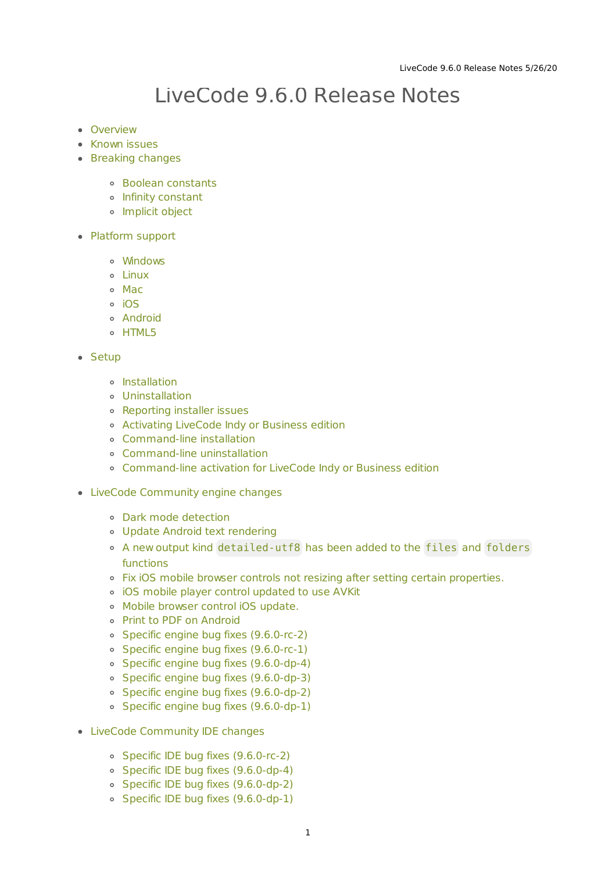# LiveCode 9.6.0 Release Notes

- [Overview](#page-1-0)
- **[Known](#page-2-0) issues**
- [Breaking](#page-2-1) changes
	- Boolean [constants](#page-2-2)
	- Infinity [constant](#page-3-0)
	- **o** [Implicit](#page-3-1) object
- [Platform](#page-3-2) support
	- [Windows](#page-3-3)
	- [Linux](#page-4-0)
	- [Mac](#page-4-1)
	- [iOS](#page-5-0)
	- [Android](#page-5-1)
	- o [HTML5](#page-6-0)

#### • [Setup](#page-6-1)

- o [Installation](#page-6-2)
- [Uninstallation](#page-7-0)
- [Reporting](#page-7-1) installer issues
- [Activating](#page-7-2) LiveCode Indy or Business edition
- [Command-line](#page-7-3) installation
- [Command-line](#page-8-0) uninstallation
- [Command-line](#page-9-0) activation for LiveCode Indy or Business edition
- LiveCode [Community](#page-9-1) engine changes
	- Dark mode [detection](#page-9-2)
	- Update Android text [rendering](#page-10-0)
	- A new output kind [detailed-utf8](#page-10-1) has been added to the files and folders functions
	- Fix iOS mobile browser controls not resizing after setting certain [properties.](#page-10-2)
	- iOS mobile player control [updated](#page-10-3) to use AVKit
	- Mobile [browser](#page-11-0) control iOS update.
	- Print to PDF on [Android](#page-11-1)
	- Specific engine bug fixes [\(9.6.0-rc-2\)](#page-11-2)
	- Specific engine bug fixes [\(9.6.0-rc-1\)](#page-11-3)
	- Specific engine bug fixes [\(9.6.0-dp-4\)](#page-11-4)
	- Specific engine bug fixes [\(9.6.0-dp-3\)](#page-12-0)
	- Specific engine bug fixes [\(9.6.0-dp-2\)](#page-12-1)
	- Specific engine bug fixes [\(9.6.0-dp-1\)](#page-13-0)
- LiveCode [Community](#page-13-1) IDE changes
	- Specific IDE bug fixes [\(9.6.0-rc-2\)](#page-13-2)
	- Specific IDE bug fixes [\(9.6.0-dp-4\)](#page-13-3)
	- Specific IDE bug fixes [\(9.6.0-dp-2\)](#page-13-4)
	- Specific IDE bug fixes [\(9.6.0-dp-1\)](#page-13-5)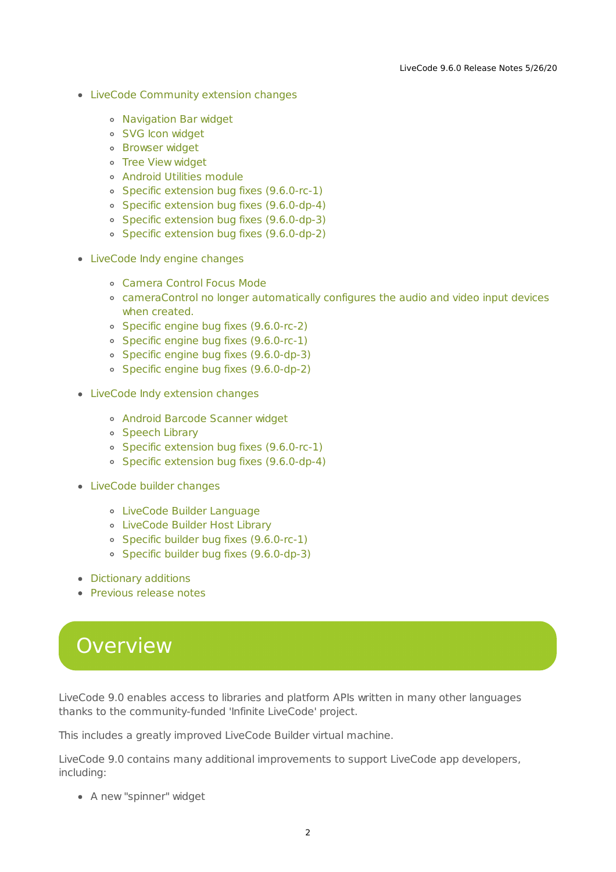- LiveCode [Community](#page-14-0) extension changes
	- [Navigation](#page-14-1) Bar widget
	- SVG Icon [widget](#page-14-2)
	- [Browser](#page-14-3) widget
	- Tree View [widget](#page-15-0)
	- [Android](#page-15-1) Utilities module
	- Specific extension bug fixes [\(9.6.0-rc-1\)](#page-16-0)
	- Specific extension bug fixes [\(9.6.0-dp-4\)](#page-16-1)
	- Specific extension bug fixes [\(9.6.0-dp-3\)](#page-16-2)
	- Specific extension bug fixes [\(9.6.0-dp-2\)](#page-16-3)
- [LiveCode](#page-16-4) Indy engine changes
	- [Camera](#page-16-5) Control Focus Mode
	- [cameraControl](#page-17-0) no longer automatically configures the audio and video input devices when created.
	- Specific engine bug fixes [\(9.6.0-rc-2\)](#page-11-2)
	- Specific engine bug fixes [\(9.6.0-rc-1\)](#page-11-3)
	- Specific engine bug fixes [\(9.6.0-dp-3\)](#page-12-0)
	- Specific engine bug fixes [\(9.6.0-dp-2\)](#page-12-1)
- LiveCode Indy [extension](#page-18-0) changes
	- Android Barcode [Scanner](#page-18-1) widget
	- o [Speech](#page-18-2) Library
	- Specific extension bug fixes [\(9.6.0-rc-1\)](#page-16-0)
	- Specific extension bug fixes [\(9.6.0-dp-4\)](#page-16-1)
- [LiveCode](#page-19-0) builder changes
	- LiveCode Builder [Language](#page-19-1)
	- [LiveCode](#page-21-0) Builder Host Library
	- Specific builder bug fixes [\(9.6.0-rc-1\)](#page-21-1)
	- Specific builder bug fixes [\(9.6.0-dp-3\)](#page-21-2)
- [Dictionary](#page-21-3) additions
- [Previous](#page-22-0) release notes

# <span id="page-1-0"></span>**Overview**

LiveCode 9.0 enables access to libraries and platform APIs written in many other languages thanks to the community-funded 'Infinite LiveCode' project.

This includes a greatly improved LiveCode Builder virtual machine.

LiveCode 9.0 contains many additional improvements to support LiveCode app developers, including:

A new "spinner" widget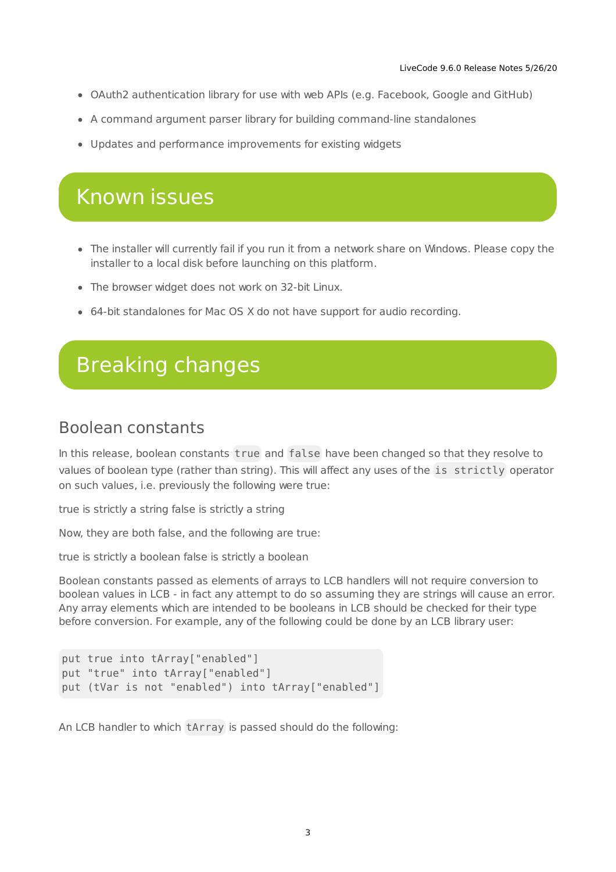- OAuth2 authentication library for use with web APIs (e.g. Facebook, Google and GitHub)
- A command argument parser library for building command-line standalones
- Updates and performance improvements for existing widgets

# <span id="page-2-0"></span>Known issues

- The installer will currently fail if you run it from a network share on Windows. Please copy the installer to a local disk before launching on this platform.
- The browser widget does not work on 32-bit Linux.
- 64-bit standalones for Mac OS X do not have support for audio recording.

# <span id="page-2-1"></span>Breaking changes

### <span id="page-2-2"></span>Boolean constants

In this release, boolean constants true and false have been changed so that they resolve to values of boolean type (rather than string). This will affect any uses of the is strictly operator on such values, i.e. previously the following were true:

true is strictly a string false is strictly a string

Now, they are both false, and the following are true:

true is strictly a boolean false is strictly a boolean

Boolean constants passed as elements of arrays to LCB handlers will not require conversion to boolean values in LCB - in fact any attempt to do so assuming they are strings will cause an error. Any array elements which are intended to be booleans in LCB should be checked for their type before conversion. For example, any of the following could be done by an LCB library user:

```
put true into tArray["enabled"]
put "true" into tArray["enabled"]
put (tVar is not "enabled") into tArray["enabled"]
```
An LCB handler to which tArray is passed should do the following: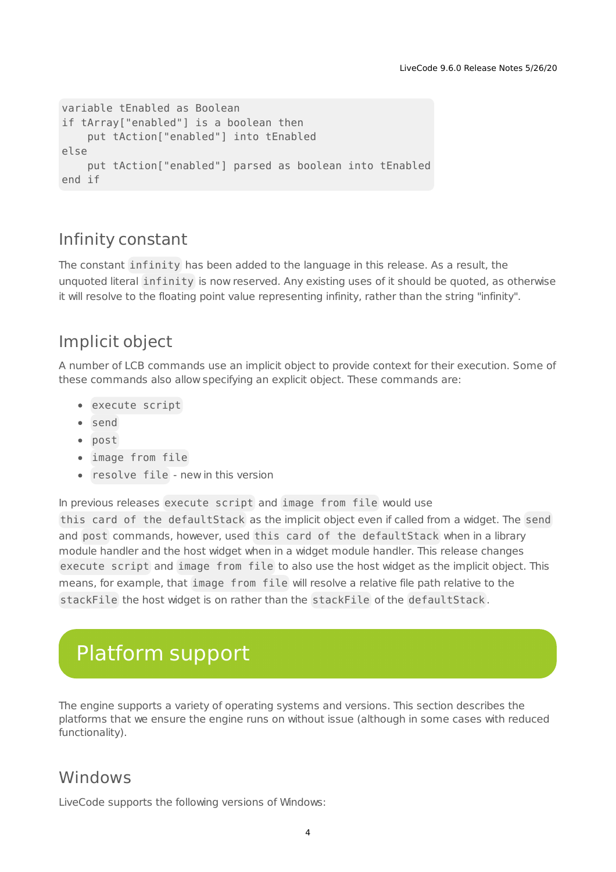```
variable tEnabled as Boolean
if tArray["enabled"] is a boolean then
   put tAction["enabled"] into tEnabled
else
   put tAction["enabled"] parsed as boolean into tEnabled
end if
```
# <span id="page-3-0"></span>Infinity constant

The constant infinity has been added to the language in this release. As a result, the unquoted literal infinity is now reserved. Any existing uses of it should be quoted, as otherwise it will resolve to the floating point value representing infinity, rather than the string "infinity".

# <span id="page-3-1"></span>Implicit object

A number of LCB commands use an implicit object to provide context for their execution. Some of these commands also allow specifying an explicit object. These commands are:

- execute script
- send
- post
- image from file
- resolve file new in this version

In previous releases execute script and image from file would use

this card of the defaultStack as the implicit object even if called from a widget. The send and post commands, however, used this card of the defaultStack when in a library module handler and the host widget when in a widget module handler. This release changes execute script and image from file to also use the host widget as the implicit object. This means, for example, that image from file will resolve a relative file path relative to the stackFile the host widget is on rather than the stackFile of the defaultStack .

# <span id="page-3-2"></span>Platform support

The engine supports a variety of operating systems and versions. This section describes the platforms that we ensure the engine runs on without issue (although in some cases with reduced functionality).

### <span id="page-3-3"></span>**Windows**

LiveCode supports the following versions of Windows: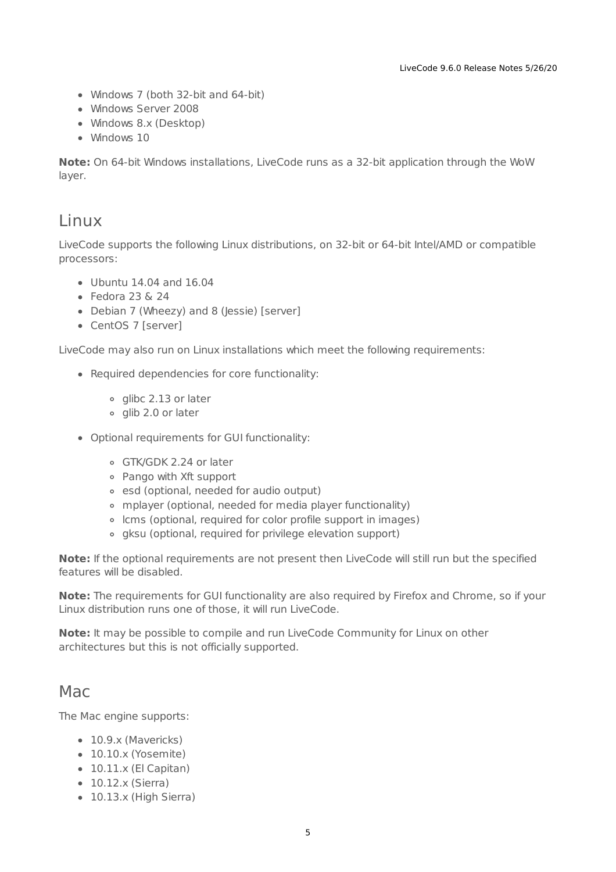- Windows 7 (both 32-bit and 64-bit)
- Windows Server 2008
- Windows 8.x (Desktop)
- Windows 10

**Note:** On 64-bit Windows installations, LiveCode runs as a 32-bit application through the WoW layer.

### <span id="page-4-0"></span>Linux

LiveCode supports the following Linux distributions, on 32-bit or 64-bit Intel/AMD or compatible processors:

- Ubuntu 14.04 and 16.04
- $\bullet$  Fedora 23 & 24
- Debian 7 (Wheezy) and 8 (Jessie) [server]
- CentOS 7 [server]

LiveCode may also run on Linux installations which meet the following requirements:

- Required dependencies for core functionality:
	- o glibc 2.13 or later
	- glib 2.0 or later
- Optional requirements for GUI functionality:
	- GTK/GDK 2.24 or later
	- Pango with Xft support
	- esd (optional, needed for audio output)
	- mplayer (optional, needed for media player functionality)
	- lcms (optional, required for color profile support in images)
	- gksu (optional, required for privilege elevation support)

**Note:** If the optional requirements are not present then LiveCode will still run but the specified features will be disabled.

**Note:** The requirements for GUI functionality are also required by Firefox and Chrome, so if your Linux distribution runs one of those, it will run LiveCode.

**Note:** It may be possible to compile and run LiveCode Community for Linux on other architectures but this is not officially supported.

### <span id="page-4-1"></span>Mac

The Mac engine supports:

- 10.9.x (Mavericks)
- 10.10.x (Yosemite)
- $\bullet$  10.11.x (El Capitan)
- 10.12.x (Sierra)
- 10.13.x (High Sierra)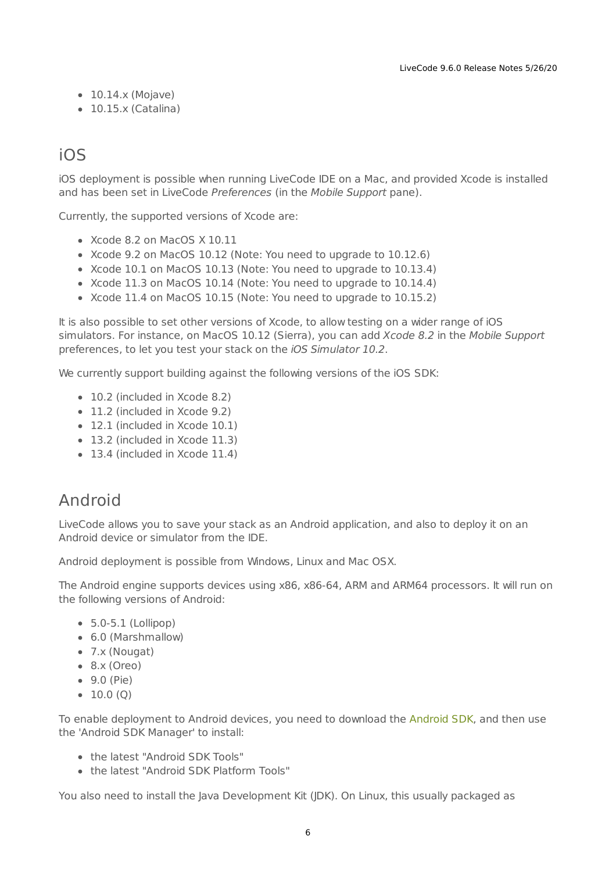- $\bullet$  10.14.x (Mojave)
- $\bullet$  10.15.x (Catalina)

## <span id="page-5-0"></span>iOS

iOS deployment is possible when running LiveCode IDE on a Mac, and provided Xcode is installed and has been set in LiveCode Preferences (in the Mobile Support pane).

Currently, the supported versions of Xcode are:

- Xcode 8.2 on MacOS X 10.11
- Xcode 9.2 on MacOS 10.12 (Note: You need to upgrade to 10.12.6)
- Xcode 10.1 on MacOS 10.13 (Note: You need to upgrade to 10.13.4)
- Xcode 11.3 on MacOS 10.14 (Note: You need to upgrade to 10.14.4)
- Xcode 11.4 on MacOS 10.15 (Note: You need to upgrade to 10.15.2)

It is also possible to set other versions of Xcode, to allow testing on a wider range of iOS simulators. For instance, on MacOS 10.12 (Sierra), you can add Xcode 8.2 in the Mobile Support preferences, to let you test your stack on the iOS Simulator 10.2.

We currently support building against the following versions of the iOS SDK:

- 10.2 (included in Xcode 8.2)
- 11.2 (included in Xcode 9.2)
- 12.1 (included in Xcode 10.1)
- 13.2 (included in Xcode 11.3)
- 13.4 (included in Xcode 11.4)

### <span id="page-5-1"></span>Android

LiveCode allows you to save your stack as an Android application, and also to deploy it on an Android device or simulator from the IDE.

Android deployment is possible from Windows, Linux and Mac OSX.

The Android engine supports devices using x86, x86-64, ARM and ARM64 processors. It will run on the following versions of Android:

- $\bullet$  5.0-5.1 (Lollipop)
- 6.0 (Marshmallow)
- 7.x (Nougat)
- $\bullet$  8.x (Oreo)
- 9.0 (Pie)
- $\bullet$  10.0 (O)

To enable deployment to Android devices, you need to download the [Android](https://developer.android.com/sdk/index.html#Other) SDK, and then use the 'Android SDK Manager' to install:

- the latest "Android SDK Tools"
- the latest "Android SDK Platform Tools"

You also need to install the Java Development Kit (JDK). On Linux, this usually packaged as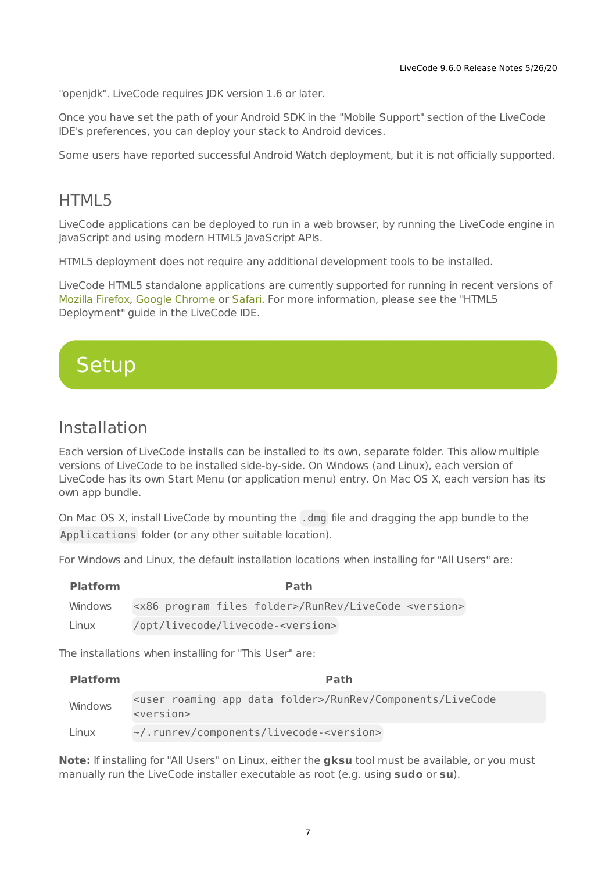"openjdk". LiveCode requires JDK version 1.6 or later.

Once you have set the path of your Android SDK in the "Mobile Support" section of the LiveCode IDE's preferences, you can deploy your stack to Android devices.

Some users have reported successful Android Watch deployment, but it is not officially supported.

### <span id="page-6-0"></span>HTML5

LiveCode applications can be deployed to run in a web browser, by running the LiveCode engine in JavaScript and using modern HTML5 JavaScript APIs.

HTML5 deployment does not require any additional development tools to be installed.

LiveCode HTML5 standalone applications are currently supported for running in recent versions of [Mozilla](https://www.mozilla.org/firefox/new/) Firefox, Google [Chrome](https://www.google.com/chrome/) or [Safari](https://support.apple.com/HT204416). For more information, please see the "HTML5 Deployment" guide in the LiveCode IDE.

<span id="page-6-1"></span>

### <span id="page-6-2"></span>Installation

Each version of LiveCode installs can be installed to its own, separate folder. This allow multiple versions of LiveCode to be installed side-by-side. On Windows (and Linux), each version of LiveCode has its own Start Menu (or application menu) entry. On Mac OS X, each version has its own app bundle.

On Mac OS X, install LiveCode by mounting the .dmg file and dragging the app bundle to the Applications folder (or any other suitable location).

For Windows and Linux, the default installation locations when installing for "All Users" are:

| <b>Platform</b> | Path                                                                          |
|-----------------|-------------------------------------------------------------------------------|
| Windows         | <x86 files="" folder="" program="">/RunRev/LiveCode <version></version></x86> |
| Linux           | /opt/livecode/livecode- <version></version>                                   |

The installations when installing for "This User" are:

| <b>Platform</b> | <b>Path</b>                                                                                          |
|-----------------|------------------------------------------------------------------------------------------------------|
| Windows         | <user app="" data="" folder="" roaming="">/RunRev/Components/LiveCode<br/><version></version></user> |
| Linux           | ~/.runrev/components/livecode- <version></version>                                                   |

**Note:** If installing for "All Users" on Linux, either the **gksu** tool must be available, or you must manually run the LiveCode installer executable as root (e.g. using **sudo** or **su**).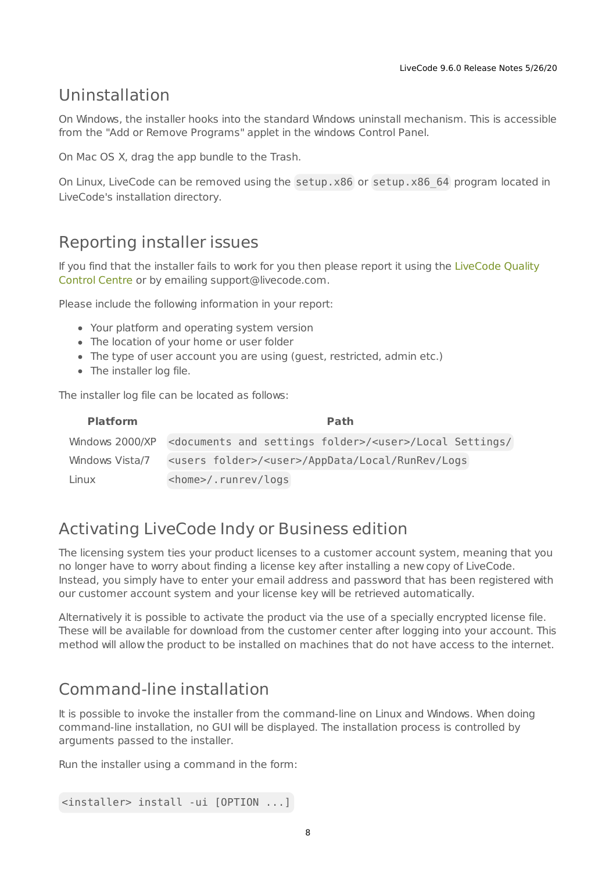### <span id="page-7-0"></span>Uninstallation

On Windows, the installer hooks into the standard Windows uninstall mechanism. This is accessible from the "Add or Remove Programs" applet in the windows Control Panel.

On Mac OS X, drag the app bundle to the Trash.

On Linux, LiveCode can be removed using the setup.x86 or setup.x86 64 program located in LiveCode's installation directory.

### <span id="page-7-1"></span>Reporting installer issues

If you find that the installer fails to work for you then please report it using the LiveCode Quality Control Centre or by emailing [support@livecode.com.](http://quality.livecode.com)

Please include the following information in your report:

- Your platform and operating system version
- The location of your home or user folder
- The type of user account you are using (guest, restricted, admin etc.)
- The installer log file.

The installer log file can be located as follows:

| <b>Platform</b> | <b>Path</b>                                                                                        |
|-----------------|----------------------------------------------------------------------------------------------------|
|                 | Windows 2000/XP <documents and="" folder="" settings="">/<user>/Local Settings/</user></documents> |
| Windows Vista/7 | <users folder="">/<user>/AppData/Local/RunRev/Logs</user></users>                                  |
| Linux           | <home>/.runrev/logs</home>                                                                         |

### <span id="page-7-2"></span>Activating LiveCode Indy or Business edition

The licensing system ties your product licenses to a customer account system, meaning that you no longer have to worry about finding a license key after installing a new copy of LiveCode. Instead, you simply have to enter your email address and password that has been registered with our customer account system and your license key will be retrieved automatically.

Alternatively it is possible to activate the product via the use of a specially encrypted license file. These will be available for download from the customer center after logging into your account. This method will allow the product to be installed on machines that do not have access to the internet.

### <span id="page-7-3"></span>Command-line installation

It is possible to invoke the installer from the command-line on Linux and Windows. When doing command-line installation, no GUI will be displayed. The installation process is controlled by arguments passed to the installer.

Run the installer using a command in the form:

```
<installer> install -ui [OPTION ...]
```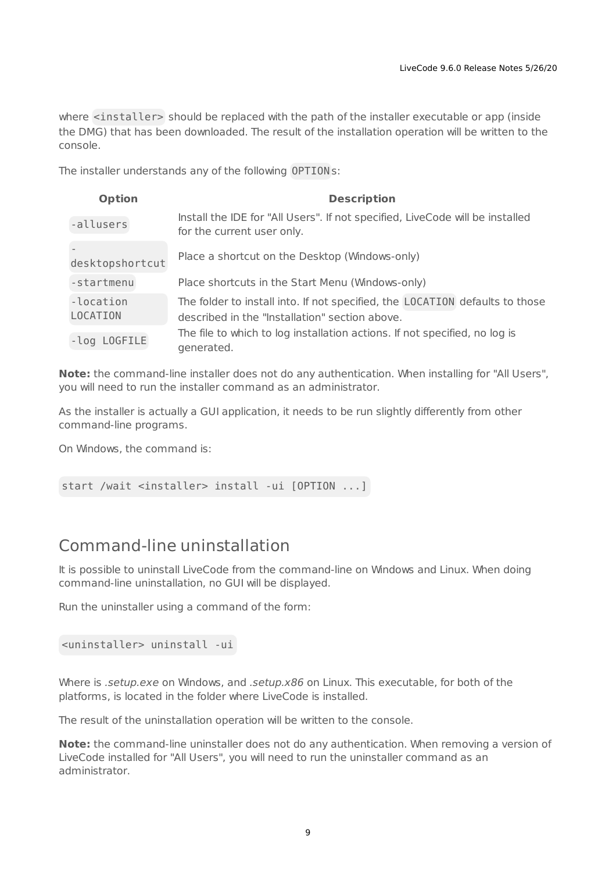where <installer> should be replaced with the path of the installer executable or app (inside the DMG) that has been downloaded. The result of the installation operation will be written to the console.

The installer understands any of the following OPTION s:

| <b>Option</b>         | <b>Description</b>                                                                                                             |
|-----------------------|--------------------------------------------------------------------------------------------------------------------------------|
| -allusers             | Install the IDE for "All Users". If not specified, LiveCode will be installed<br>for the current user only.                    |
| desktopshortcut       | Place a shortcut on the Desktop (Windows-only)                                                                                 |
| -startmenu            | Place shortcuts in the Start Menu (Windows-only)                                                                               |
| -location<br>LOCATION | The folder to install into. If not specified, the LOCATION defaults to those<br>described in the "Installation" section above. |
| -log LOGFILE          | The file to which to log installation actions. If not specified, no log is<br>generated.                                       |

**Note:** the command-line installer does not do any authentication. When installing for "All Users", you will need to run the installer command as an administrator.

As the installer is actually a GUI application, it needs to be run slightly differently from other command-line programs.

On Windows, the command is:

start /wait <installer> install -ui [OPTION ...]

### <span id="page-8-0"></span>Command-line uninstallation

It is possible to uninstall LiveCode from the command-line on Windows and Linux. When doing command-line uninstallation, no GUI will be displayed.

Run the uninstaller using a command of the form:

<uninstaller> uninstall -ui

Where is .setup.exe on Windows, and .setup.x86 on Linux. This executable, for both of the platforms, is located in the folder where LiveCode is installed.

The result of the uninstallation operation will be written to the console.

**Note:** the command-line uninstaller does not do any authentication. When removing a version of LiveCode installed for "All Users", you will need to run the uninstaller command as an administrator.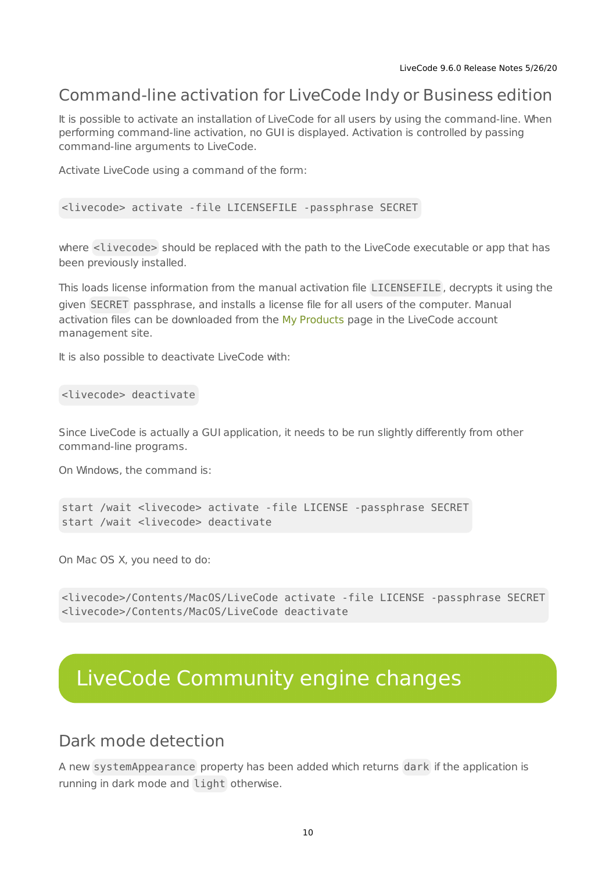### <span id="page-9-0"></span>Command-line activation for LiveCode Indy or Business edition

It is possible to activate an installation of LiveCode for all users by using the command-line. When performing command-line activation, no GUI is displayed. Activation is controlled by passing command-line arguments to LiveCode.

Activate LiveCode using a command of the form:

<livecode> activate -file LICENSEFILE -passphrase SECRET

where <livecode> should be replaced with the path to the LiveCode executable or app that has been previously installed.

This loads license information from the manual activation file LICENSEFILE , decrypts it using the given SECRET passphrase, and installs a license file for all users of the computer. Manual activation files can be downloaded from the My [Products](https://livecode.com/account/products/livecode) page in the LiveCode account management site.

It is also possible to deactivate LiveCode with:

<livecode> deactivate

Since LiveCode is actually a GUI application, it needs to be run slightly differently from other command-line programs.

On Windows, the command is:

```
start /wait <livecode> activate -file LICENSE -passphrase SECRET
start /wait <livecode> deactivate
```
On Mac OS X, you need to do:

```
<livecode>/Contents/MacOS/LiveCode activate -file LICENSE -passphrase SECRET
<livecode>/Contents/MacOS/LiveCode deactivate
```
# <span id="page-9-1"></span>LiveCode Community engine changes

### <span id="page-9-2"></span>Dark mode detection

A new systemAppearance property has been added which returns dark if the application is running in dark mode and light otherwise.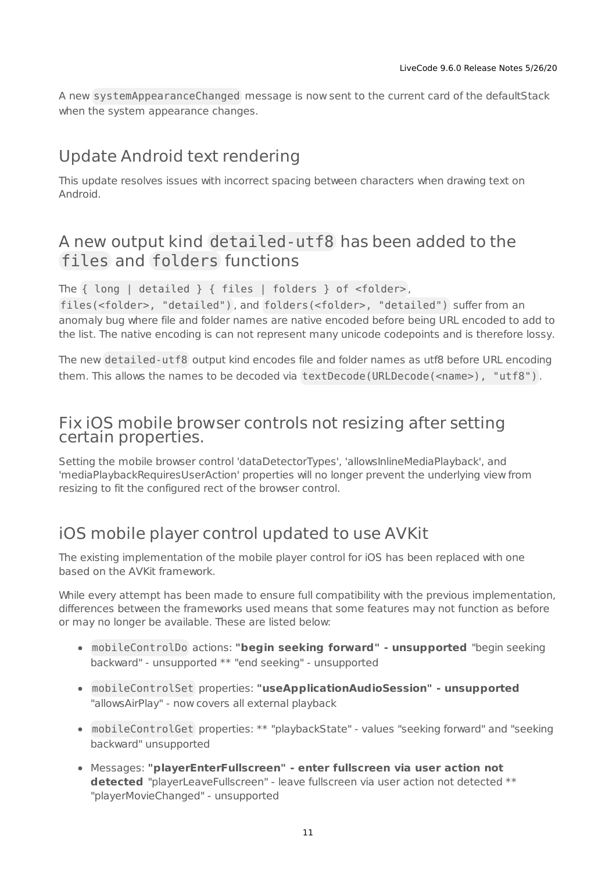A new systemAppearanceChanged message is now sent to the current card of the defaultStack when the system appearance changes.

## <span id="page-10-0"></span>Update Android text rendering

This update resolves issues with incorrect spacing between characters when drawing text on Android.

## <span id="page-10-1"></span>A new output kind detailed-utf8 has been added to the files and folders functions

The { long | detailed } { files | folders } of <folder> ,

files(<folder>, "detailed") , and folders(<folder>, "detailed") suffer from an anomaly bug where file and folder names are native encoded before being URL encoded to add to the list. The native encoding is can not represent many unicode codepoints and is therefore lossy.

The new detailed-utf8 output kind encodes file and folder names as utf8 before URL encoding them. This allows the names to be decoded via textDecode (URLDecode (<name>), "utf8").

### <span id="page-10-2"></span>Fix iOS mobile browser controls not resizing after setting certain properties.

Setting the mobile browser control 'dataDetectorTypes', 'allowsInlineMediaPlayback', and 'mediaPlaybackRequiresUserAction' properties will no longer prevent the underlying view from resizing to fit the configured rect of the browser control.

# <span id="page-10-3"></span>iOS mobile player control updated to use AVKit

The existing implementation of the mobile player control for iOS has been replaced with one based on the AVKit framework.

While every attempt has been made to ensure full compatibility with the previous implementation, differences between the frameworks used means that some features may not function as before or may no longer be available. These are listed below:

- mobileControlDo actions: **"begin seeking forward" - unsupported** "begin seeking backward" - unsupported \*\* "end seeking" - unsupported
- mobileControlSet properties: **"useApplicationAudioSession" - unsupported** "allowsAirPlay" - now covers all external playback
- mobileControlGet properties: \*\* "playbackState" values "seeking forward" and "seeking backward" unsupported
- Messages: **"playerEnterFullscreen" - enter fullscreen via user action not detected** "playerLeaveFullscreen" - leave fullscreen via user action not detected \*\* "playerMovieChanged" - unsupported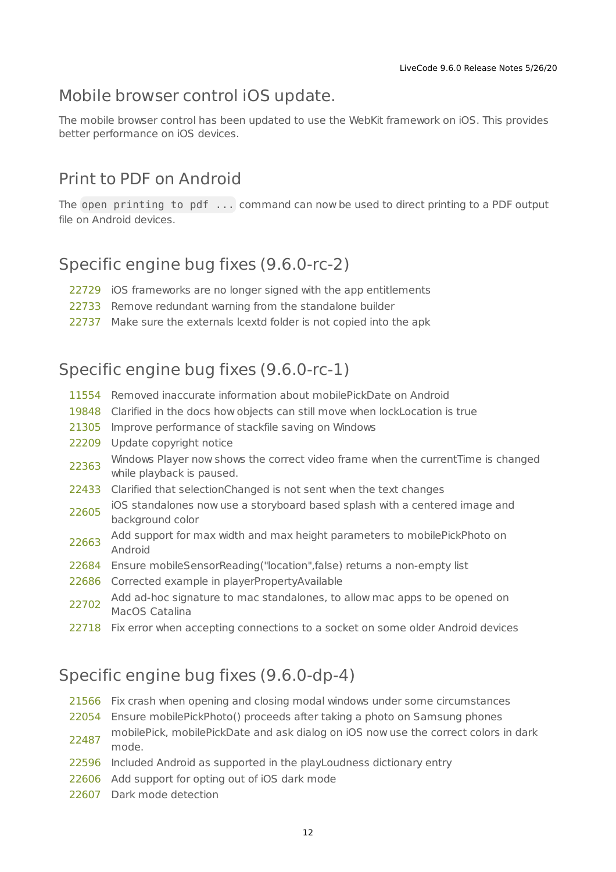## <span id="page-11-0"></span>Mobile browser control iOS update.

The mobile browser control has been updated to use the WebKit framework on iOS. This provides better performance on iOS devices.

## <span id="page-11-1"></span>Print to PDF on Android

The open printing to pdf ... command can now be used to direct printing to a PDF output file on Android devices.

# <span id="page-11-2"></span>Specific engine bug fixes (9.6.0-rc-2)

- [22729](http://quality.livecode.com/show_bug.cgi?id=22729) iOS frameworks are no longer signed with the app entitlements
- [22733](http://quality.livecode.com/show_bug.cgi?id=22733) Remove redundant warning from the standalone builder
- [22737](http://quality.livecode.com/show_bug.cgi?id=22737) Make sure the externals lcextd folder is not copied into the apk

# <span id="page-11-3"></span>Specific engine bug fixes (9.6.0-rc-1)

- [11554](http://quality.livecode.com/show_bug.cgi?id=11554) Removed inaccurate information about mobilePickDate on Android
- [19848](http://quality.livecode.com/show_bug.cgi?id=19848) Clarified in the docs how objects can still move when lockLocation is true
- [21305](http://quality.livecode.com/show_bug.cgi?id=21305) Improve performance of stackfile saving on Windows
- [22209](http://quality.livecode.com/show_bug.cgi?id=22209) Update copyright notice
- [22363](http://quality.livecode.com/show_bug.cgi?id=22363) Windows Player now shows the correct video frame when the currentTime is changed while playback is paused.
- [22433](http://quality.livecode.com/show_bug.cgi?id=22433) Clarified that selectionChanged is not sent when the text changes
- [22605](http://quality.livecode.com/show_bug.cgi?id=22605) iOS standalones now use a storyboard based splash with a centered image and background color
- [22663](http://quality.livecode.com/show_bug.cgi?id=22663) Add support for max width and max height parameters to mobilePickPhoto on Android
- [22684](http://quality.livecode.com/show_bug.cgi?id=22684) Ensure mobileSensorReading("location",false) returns a non-empty list
- [22686](http://quality.livecode.com/show_bug.cgi?id=22686) Corrected example in playerPropertyAvailable
- [22702](http://quality.livecode.com/show_bug.cgi?id=22702) Add ad-hoc signature to mac standalones, to allow mac apps to be opened on<br>22702 MasOF Gatalius MacOS Catalina
- [22718](http://quality.livecode.com/show_bug.cgi?id=22718) Fix error when accepting connections to a socket on some older Android devices

# <span id="page-11-4"></span>Specific engine bug fixes (9.6.0-dp-4)

- [21566](http://quality.livecode.com/show_bug.cgi?id=21566) Fix crash when opening and closing modal windows under some circumstances
- [22054](http://quality.livecode.com/show_bug.cgi?id=22054) Ensure mobilePickPhoto() proceeds after taking a photo on Samsung phones
- [22487](http://quality.livecode.com/show_bug.cgi?id=22487) mobilePick, mobilePickDate and ask dialog on iOS now use the correct colors in dark mode.
- [22596](http://quality.livecode.com/show_bug.cgi?id=22596) Included Android as supported in the playLoudness dictionary entry
- [22606](http://quality.livecode.com/show_bug.cgi?id=22606) Add support for opting out of iOS dark mode
- [22607](http://quality.livecode.com/show_bug.cgi?id=22607) Dark mode detection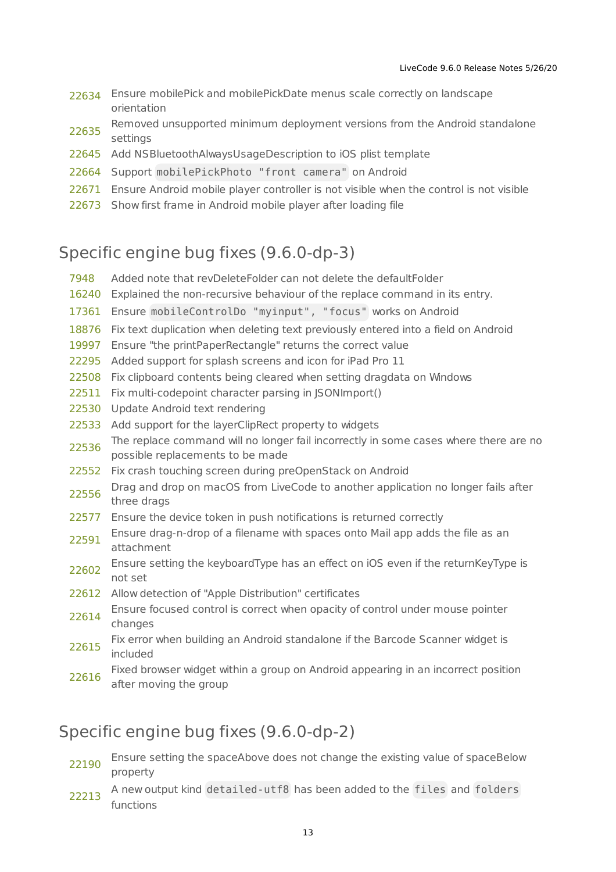- [22634](http://quality.livecode.com/show_bug.cgi?id=22634) Ensure mobilePick and mobilePickDate menus scale correctly on landscape orientation
- [22635](http://quality.livecode.com/show_bug.cgi?id=22635) Removed unsupported minimum deployment versions from the Android standalone settings
- [22645](http://quality.livecode.com/show_bug.cgi?id=22645) Add NSBluetoothAlwaysUsageDescription to iOS plist template
- [22664](http://quality.livecode.com/show_bug.cgi?id=22664) Support mobilePickPhoto "front camera" on Android
- [22671](http://quality.livecode.com/show_bug.cgi?id=22671) Ensure Android mobile player controller is not visible when the control is not visible
- [22673](http://quality.livecode.com/show_bug.cgi?id=22673) Show first frame in Android mobile player after loading file

## <span id="page-12-0"></span>Specific engine bug fixes (9.6.0-dp-3)

- [7948](http://quality.livecode.com/show_bug.cgi?id=7948) Added note that revDeleteFolder can not delete the defaultFolder
- [16240](http://quality.livecode.com/show_bug.cgi?id=16240) Explained the non-recursive behaviour of the replace command in its entry.
- [17361](http://quality.livecode.com/show_bug.cgi?id=17361) Ensure mobileControlDo "myinput", "focus" works on Android
- [18876](http://quality.livecode.com/show_bug.cgi?id=18876) Fix text duplication when deleting text previously entered into a field on Android
- [19997](http://quality.livecode.com/show_bug.cgi?id=19997) Ensure "the printPaperRectangle" returns the correct value
- [22295](http://quality.livecode.com/show_bug.cgi?id=22295) Added support for splash screens and icon for iPad Pro 11
- [22508](http://quality.livecode.com/show_bug.cgi?id=22508) Fix clipboard contents being cleared when setting dragdata on Windows
- [22511](http://quality.livecode.com/show_bug.cgi?id=22511) Fix multi-codepoint character parsing in JSONImport()
- [22530](http://quality.livecode.com/show_bug.cgi?id=22530) Update Android text rendering
- [22533](http://quality.livecode.com/show_bug.cgi?id=22533) Add support for the layerClipRect property to widgets
- [22536](http://quality.livecode.com/show_bug.cgi?id=22536) The replace command will no longer fail incorrectly in some cases where there are no possible replacements to be made
- [22552](http://quality.livecode.com/show_bug.cgi?id=22552) Fix crash touching screen during preOpenStack on Android
- [22556](http://quality.livecode.com/show_bug.cgi?id=22556) Drag and drop on macOS from LiveCode to another application no longer fails after three drags
- [22577](http://quality.livecode.com/show_bug.cgi?id=22577) Ensure the device token in push notifications is returned correctly
- [22591](http://quality.livecode.com/show_bug.cgi?id=22591) Ensure drag-n-drop of a filename with spaces onto Mail app adds the file as an attachment
- [22602](http://quality.livecode.com/show_bug.cgi?id=22602) Ensure setting the keyboardType has an effect on iOS even if the returnKeyType is not set
- [22612](http://quality.livecode.com/show_bug.cgi?id=22612) Allow detection of "Apple Distribution" certificates
- [22614](http://quality.livecode.com/show_bug.cgi?id=22614) Ensure focused control is correct when opacity of control under mouse pointer changes
- [22615](http://quality.livecode.com/show_bug.cgi?id=22615) Fix error when building an Android standalone if the Barcode Scanner widget is included
- [22616](http://quality.livecode.com/show_bug.cgi?id=22616) Fixed browser widget within a group on Android appearing in an incorrect position after moving the group

## <span id="page-12-1"></span>Specific engine bug fixes (9.6.0-dp-2)

- [22190](http://quality.livecode.com/show_bug.cgi?id=22190) Ensure setting the spaceAbove does not change the existing value of spaceBelow property
- [22213](http://quality.livecode.com/show_bug.cgi?id=22213) A new output kind detailed-utf8 has been added to the files and folders functions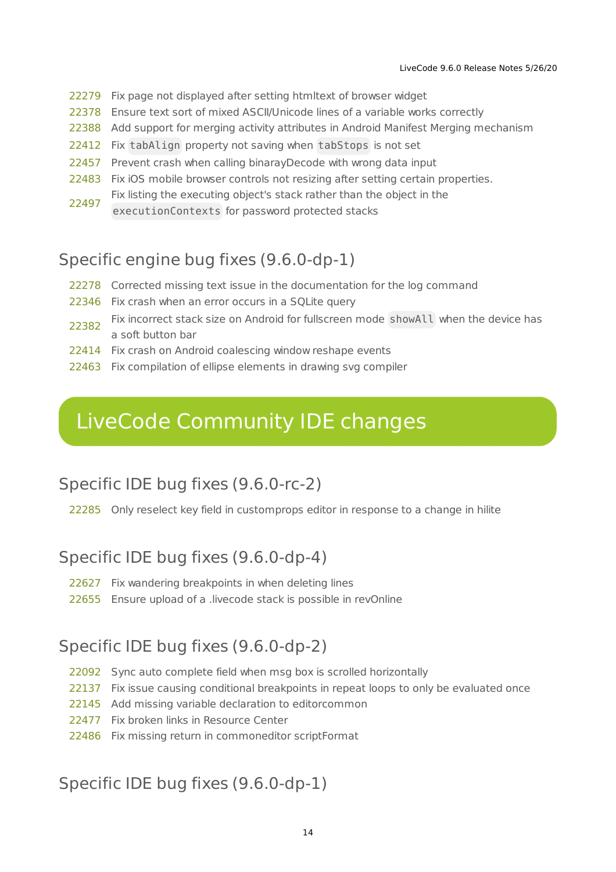- Fix page not displayed after setting htmltext of browser widget
- Ensure text sort of mixed ASCII/Unicode lines of a variable works correctly
- Add support for merging activity attributes in Android Manifest Merging mechanism
- Fix tabAlign property not saving when tabStops is not set
- Prevent crash when calling binarayDecode with wrong data input
- Fix iOS mobile browser controls not resizing after setting certain properties.
- Fix listing the executing object's stack rather than the object in the
- executionContexts for password protected stacks

## <span id="page-13-0"></span>Specific engine bug fixes (9.6.0-dp-1)

- Corrected missing text issue in the documentation for the log command
- Fix crash when an error occurs in a SQLite query
- Fix incorrect stack size on Android for fullscreen mode showAll when the device has a soft button bar
- Fix crash on Android coalescing window reshape events
- Fix compilation of ellipse elements in drawing svg compiler

# <span id="page-13-1"></span>LiveCode Community IDE changes

### <span id="page-13-2"></span>Specific IDE bug fixes (9.6.0-rc-2)

Only reselect key field in customprops editor in response to a change in hilite

### <span id="page-13-3"></span>Specific IDE bug fixes (9.6.0-dp-4)

- Fix wandering breakpoints in when deleting lines
- Ensure upload of a .livecode stack is possible in revOnline

### <span id="page-13-4"></span>Specific IDE bug fixes (9.6.0-dp-2)

- Sync auto complete field when msg box is scrolled horizontally
- Fix issue causing conditional breakpoints in repeat loops to only be evaluated once
- Add missing variable declaration to editorcommon
- Fix broken links in Resource Center
- Fix missing return in commoneditor scriptFormat

### <span id="page-13-5"></span>Specific IDE bug fixes (9.6.0-dp-1)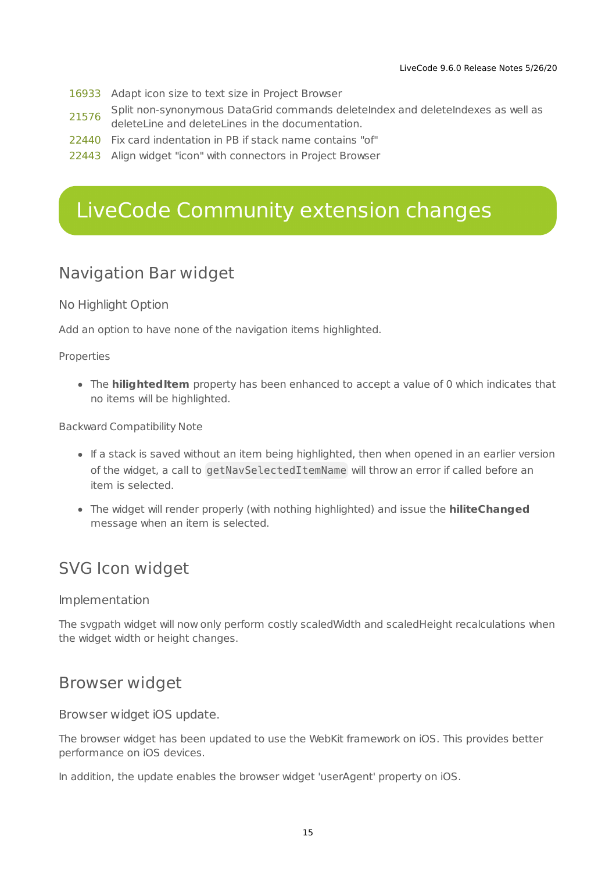- [16933](http://quality.livecode.com/show_bug.cgi?id=16933) Adapt icon size to text size in Project Browser
- [21576](http://quality.livecode.com/show_bug.cgi?id=21576) Split non-synonymous DataGrid commands deleteIndex and deleteIndexes as well as deleteLine and deleteLines in the documentation.
- [22440](http://quality.livecode.com/show_bug.cgi?id=22440) Fix card indentation in PB if stack name contains "of"
- [22443](http://quality.livecode.com/show_bug.cgi?id=22443) Align widget "icon" with connectors in Project Browser

# <span id="page-14-0"></span>LiveCode Community extension changes

## <span id="page-14-1"></span>Navigation Bar widget

#### No Highlight Option

Add an option to have none of the navigation items highlighted.

Properties

**•** The **hilighted Item** property has been enhanced to accept a value of 0 which indicates that no items will be highlighted.

Backward Compatibility Note

- If a stack is saved without an item being highlighted, then when opened in an earlier version of the widget, a call to getNavSelectedItemName will throw an error if called before an item is selected.
- The widget will render properly (with nothing highlighted) and issue the **hiliteChanged** message when an item is selected.

# <span id="page-14-2"></span>SVG Icon widget

#### Implementation

The svgpath widget will now only perform costly scaledWidth and scaledHeight recalculations when the widget width or height changes.

### <span id="page-14-3"></span>Browser widget

Browser widget iOS update.

The browser widget has been updated to use the WebKit framework on iOS. This provides better performance on iOS devices.

In addition, the update enables the browser widget 'userAgent' property on iOS.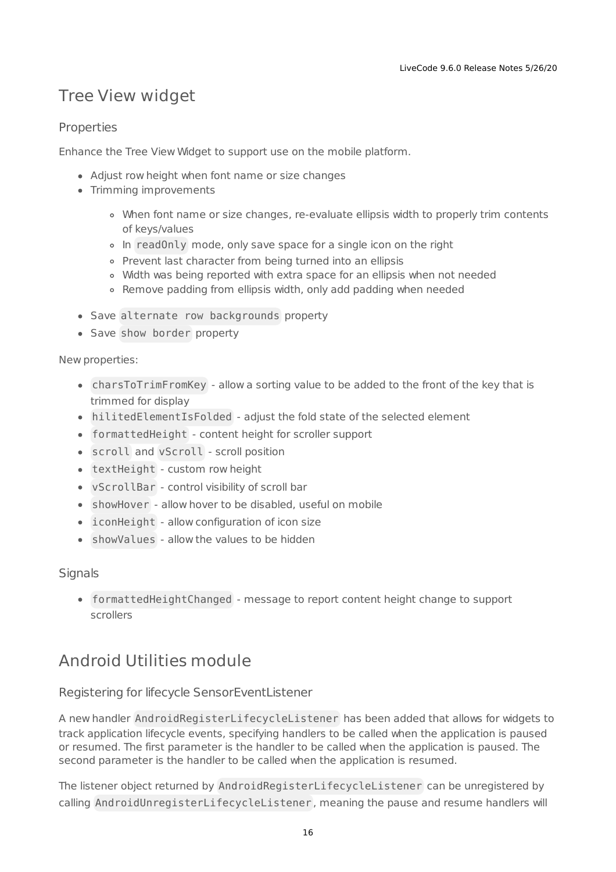# <span id="page-15-0"></span>Tree View widget

#### **Properties**

Enhance the Tree View Widget to support use on the mobile platform.

- Adjust row height when font name or size changes
- Trimming improvements
	- When font name or size changes, re-evaluate ellipsis width to properly trim contents of keys/values
	- In readOnly mode, only save space for a single icon on the right
	- o Prevent last character from being turned into an ellipsis
	- Width was being reported with extra space for an ellipsis when not needed
	- Remove padding from ellipsis width, only add padding when needed
- Save alternate row backgrounds property
- Save show border property

#### New properties:

- charsToTrimFromKey allow a sorting value to be added to the front of the key that is trimmed for display
- hilitedElementIsFolded adjust the fold state of the selected element
- formattedHeight content height for scroller support
- scroll and vScroll scroll position
- textHeight custom row height
- vScrollBar control visibility of scroll bar
- showHover allow hover to be disabled, useful on mobile
- iconHeight allow configuration of icon size
- showValues allow the values to be hidden

#### **Signals**

formattedHeightChanged - message to report content height change to support scrollers

# <span id="page-15-1"></span>Android Utilities module

#### Registering for lifecycle SensorEventListener

A new handler AndroidRegisterLifecycleListener has been added that allows for widgets to track application lifecycle events, specifying handlers to be called when the application is paused or resumed. The first parameter is the handler to be called when the application is paused. The second parameter is the handler to be called when the application is resumed.

The listener object returned by AndroidRegisterLifecycleListener can be unregistered by calling AndroidUnregisterLifecycleListener , meaning the pause and resume handlers will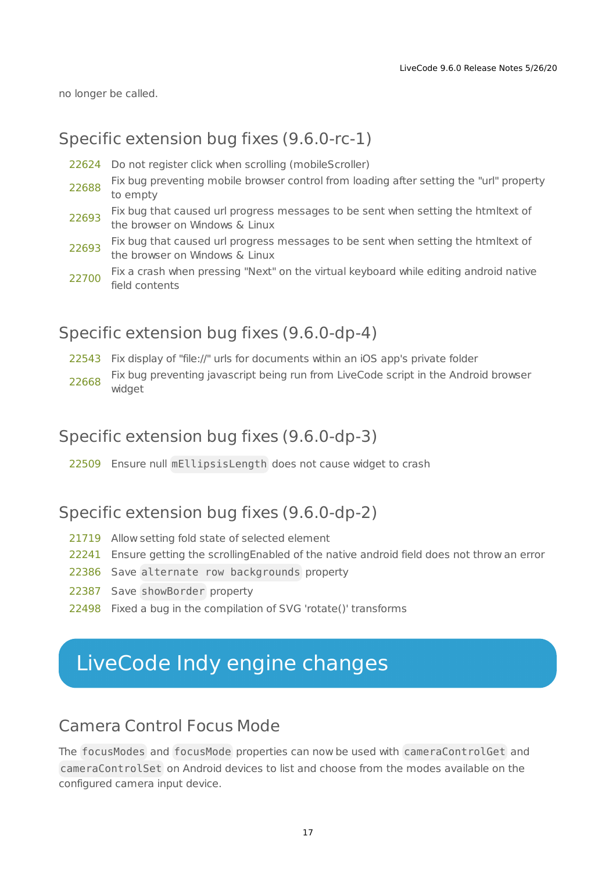no longer be called.

### <span id="page-16-0"></span>Specific extension bug fixes (9.6.0-rc-1)

- [22624](http://quality.livecode.com/show_bug.cgi?id=22624) Do not register click when scrolling (mobileScroller)
- [22688](http://quality.livecode.com/show_bug.cgi?id=22688) Fix bug preventing mobile browser control from loading after setting the "url" property to empty
- [22693](http://quality.livecode.com/show_bug.cgi?id=22693) Fix bug that caused url progress messages to be sent when setting the htmltext of the browser on Windows & Linux
- [22693](http://quality.livecode.com/show_bug.cgi?id=22693) Fix bug that caused url progress messages to be sent when setting the htmltext of the browser on Windows & Linux
- [22700](http://quality.livecode.com/show_bug.cgi?id=22700) Fix a crash when pressing "Next" on the virtual keyboard while editing android native field contents

### <span id="page-16-1"></span>Specific extension bug fixes (9.6.0-dp-4)

[22543](http://quality.livecode.com/show_bug.cgi?id=22543) Fix display of "file://" urls for documents within an iOS app's private folder [22668](http://quality.livecode.com/show_bug.cgi?id=22668) Fix bug preventing javascript being run from LiveCode script in the Android browser widget

### <span id="page-16-2"></span>Specific extension bug fixes (9.6.0-dp-3)

[22509](http://quality.livecode.com/show_bug.cgi?id=22509) Ensure null mEllipsisLength does not cause widget to crash

### <span id="page-16-3"></span>Specific extension bug fixes (9.6.0-dp-2)

- [21719](http://quality.livecode.com/show_bug.cgi?id=21719) Allow setting fold state of selected element
- [22241](http://quality.livecode.com/show_bug.cgi?id=22241) Ensure getting the scrollingEnabled of the native android field does not throw an error
- [22386](http://quality.livecode.com/show_bug.cgi?id=22386) Save alternate row backgrounds property
- [22387](http://quality.livecode.com/show_bug.cgi?id=22387) Save showBorder property
- [22498](http://quality.livecode.com/show_bug.cgi?id=22498) Fixed a bug in the compilation of SVG 'rotate()' transforms

# <span id="page-16-4"></span>LiveCode Indy engine changes

### <span id="page-16-5"></span>Camera Control Focus Mode

The focusModes and focusMode properties can now be used with cameraControlGet and cameraControlSet on Android devices to list and choose from the modes available on the configured camera input device.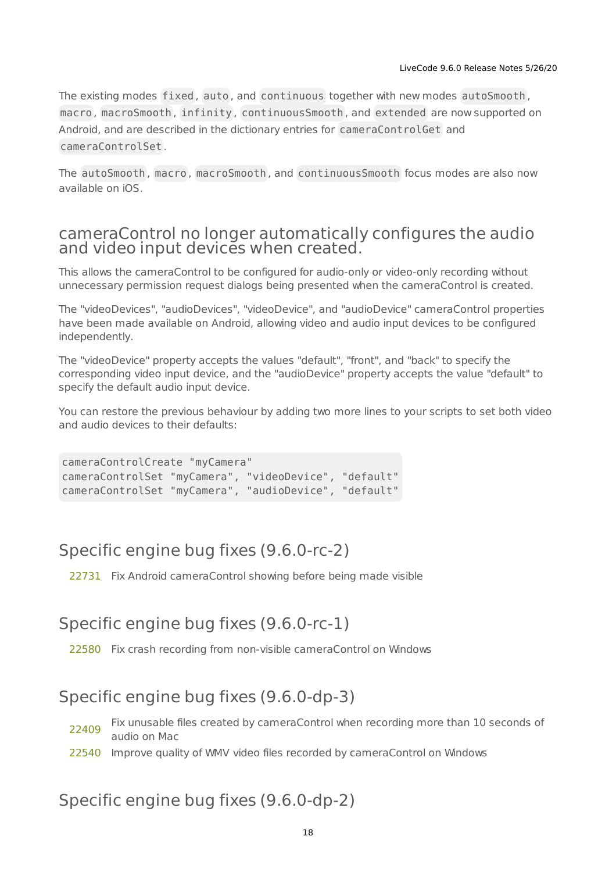The existing modes fixed, auto, and continuous together with new modes autoSmooth, macro , macroSmooth , infinity , continuousSmooth , and extended are now supported on Android, and are described in the dictionary entries for cameraControlGet and cameraControlSet .

The autoSmooth , macro , macroSmooth , and continuousSmooth focus modes are also now available on iOS.

### <span id="page-17-0"></span>cameraControl no longer automatically configures the audio and video input devices when created.

This allows the cameraControl to be configured for audio-only or video-only recording without unnecessary permission request dialogs being presented when the cameraControl is created.

The "videoDevices", "audioDevices", "videoDevice", and "audioDevice" cameraControl properties have been made available on Android, allowing video and audio input devices to be configured independently.

The "videoDevice" property accepts the values "default", "front", and "back" to specify the corresponding video input device, and the "audioDevice" property accepts the value "default" to specify the default audio input device.

You can restore the previous behaviour by adding two more lines to your scripts to set both video and audio devices to their defaults:

cameraControlCreate "myCamera" cameraControlSet "myCamera", "videoDevice", "default" cameraControlSet "myCamera", "audioDevice", "default"

# Specific engine bug fixes (9.6.0-rc-2)

[22731](http://quality.livecode.com/show_bug.cgi?id=22731) Fix Android cameraControl showing before being made visible

# Specific engine bug fixes (9.6.0-rc-1)

[22580](http://quality.livecode.com/show_bug.cgi?id=22580) Fix crash recording from non-visible cameraControl on Windows

# Specific engine bug fixes (9.6.0-dp-3)

[22409](http://quality.livecode.com/show_bug.cgi?id=22409) Fix unusable files created by cameraControl when recording more than 10 seconds of audio on Mac

[22540](http://quality.livecode.com/show_bug.cgi?id=22540) Improve quality of WMV video files recorded by cameraControl on Windows

# Specific engine bug fixes (9.6.0-dp-2)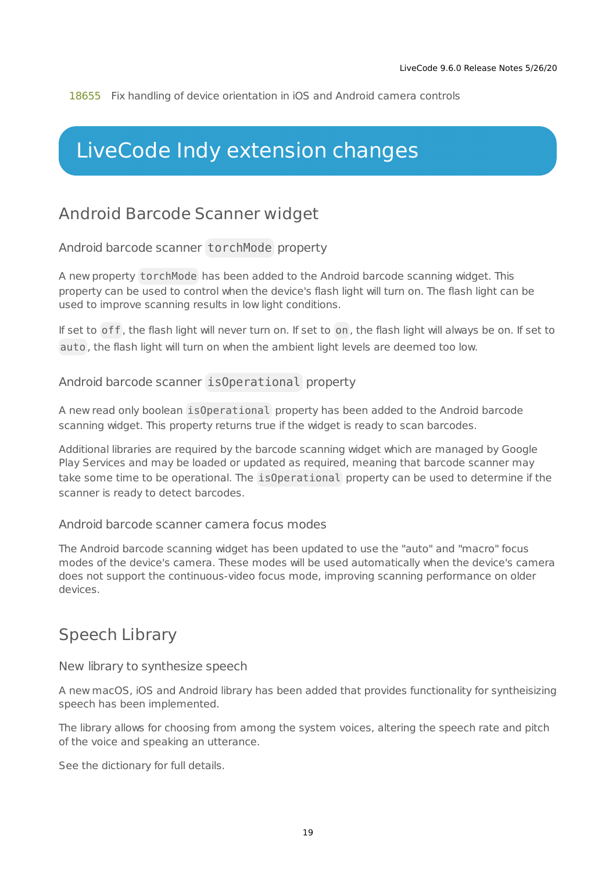[18655](http://quality.livecode.com/show_bug.cgi?id=18655) Fix handling of device orientation in iOS and Android camera controls

# <span id="page-18-0"></span>LiveCode Indy extension changes

## <span id="page-18-1"></span>Android Barcode Scanner widget

Android barcode scanner torchMode property

A new property torchMode has been added to the Android barcode scanning widget. This property can be used to control when the device's flash light will turn on. The flash light can be used to improve scanning results in low light conditions.

If set to off , the flash light will never turn on. If set to on , the flash light will always be on. If set to auto , the flash light will turn on when the ambient light levels are deemed too low.

#### Android barcode scanner isOperational property

A new read only boolean isOperational property has been added to the Android barcode scanning widget. This property returns true if the widget is ready to scan barcodes.

Additional libraries are required by the barcode scanning widget which are managed by Google Play Services and may be loaded or updated as required, meaning that barcode scanner may take some time to be operational. The isOperational property can be used to determine if the scanner is ready to detect barcodes.

#### Android barcode scanner camera focus modes

The Android barcode scanning widget has been updated to use the "auto" and "macro" focus modes of the device's camera. These modes will be used automatically when the device's camera does not support the continuous-video focus mode, improving scanning performance on older devices.

### <span id="page-18-2"></span>Speech Library

New library to synthesize speech

A new macOS, iOS and Android library has been added that provides functionality for syntheisizing speech has been implemented.

The library allows for choosing from among the system voices, altering the speech rate and pitch of the voice and speaking an utterance.

See the dictionary for full details.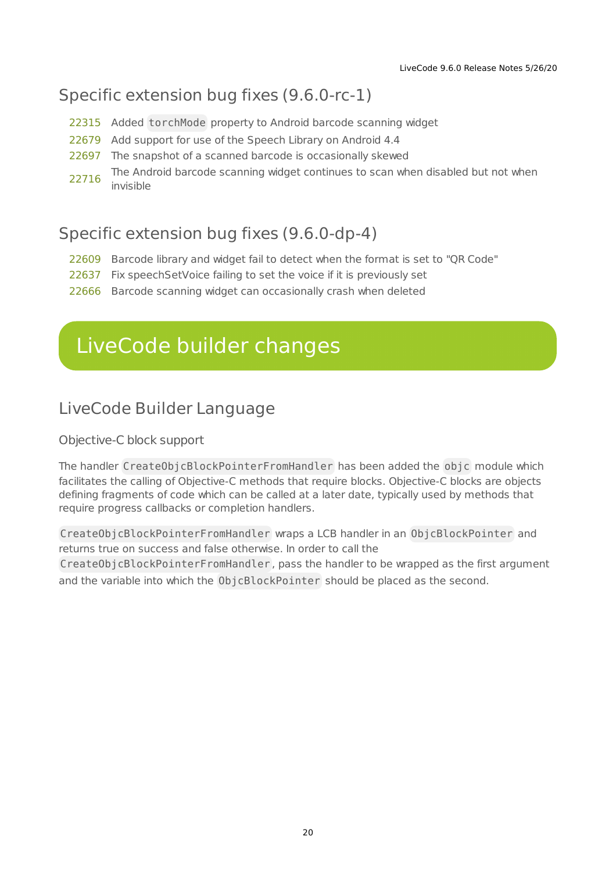# Specific extension bug fixes (9.6.0-rc-1)

- [22315](http://quality.livecode.com/show_bug.cgi?id=22315) Added torchMode property to Android barcode scanning widget
- [22679](http://quality.livecode.com/show_bug.cgi?id=22679) Add support for use of the Speech Library on Android 4.4
- [22697](http://quality.livecode.com/show_bug.cgi?id=22697) The snapshot of a scanned barcode is occasionally skewed
- [22716](http://quality.livecode.com/show_bug.cgi?id=22716) The Android barcode scanning widget continues to scan when disabled but not when invisible

### Specific extension bug fixes (9.6.0-dp-4)

- [22609](http://quality.livecode.com/show_bug.cgi?id=22609) Barcode library and widget fail to detect when the format is set to "QR Code"
- [22637](http://quality.livecode.com/show_bug.cgi?id=22637) Fix speechSetVoice failing to set the voice if it is previously set
- [22666](http://quality.livecode.com/show_bug.cgi?id=22666) Barcode scanning widget can occasionally crash when deleted

# <span id="page-19-0"></span>LiveCode builder changes

## <span id="page-19-1"></span>LiveCode Builder Language

Objective-C block support

The handler CreateObjcBlockPointerFromHandler has been added the objc module which facilitates the calling of Objective-C methods that require blocks. Objective-C blocks are objects defining fragments of code which can be called at a later date, typically used by methods that require progress callbacks or completion handlers.

CreateObjcBlockPointerFromHandler wraps a LCB handler in an ObjcBlockPointer and returns true on success and false otherwise. In order to call the CreateObjcBlockPointerFromHandler , pass the handler to be wrapped as the first argument and the variable into which the ObjcBlockPointer should be placed as the second.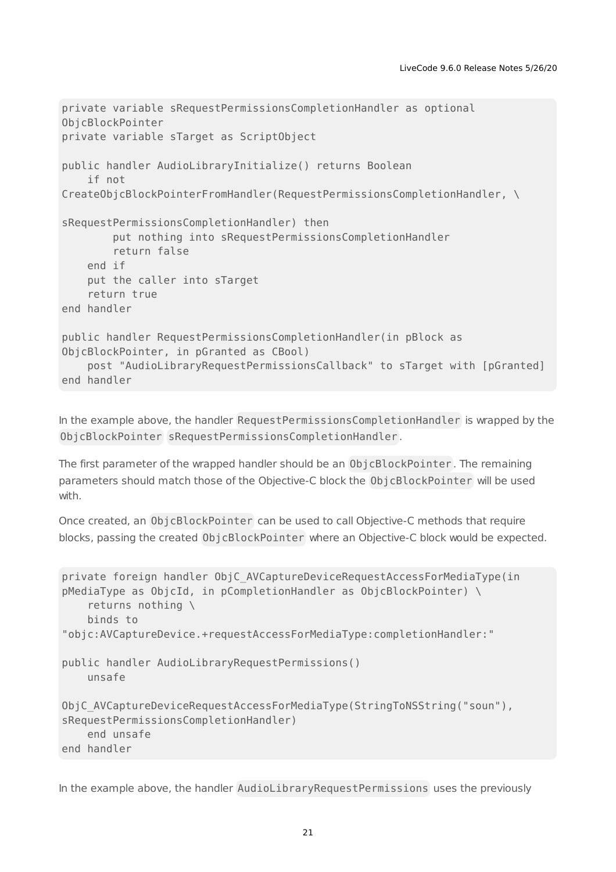```
private variable sRequestPermissionsCompletionHandler as optional
ObjcBlockPointer
private variable sTarget as ScriptObject
public handler AudioLibraryInitialize() returns Boolean
    if not
CreateObjcBlockPointerFromHandler(RequestPermissionsCompletionHandler, \
sRequestPermissionsCompletionHandler) then
        put nothing into sRequestPermissionsCompletionHandler
        return false
   end if
   put the caller into sTarget
    return true
end handler
public handler RequestPermissionsCompletionHandler(in pBlock as
ObjcBlockPointer, in pGranted as CBool)
    post "AudioLibraryRequestPermissionsCallback" to sTarget with [pGranted]
end handler
```
In the example above, the handler RequestPermissionsCompletionHandler is wrapped by the ObjcBlockPointer sRequestPermissionsCompletionHandler .

The first parameter of the wrapped handler should be an ObjcBlockPointer. The remaining parameters should match those of the Objective-C block the ObjcBlockPointer will be used with.

Once created, an ObjcBlockPointer can be used to call Objective-C methods that require blocks, passing the created ObjcBlockPointer where an Objective-C block would be expected.

```
private foreign handler ObjC_AVCaptureDeviceRequestAccessForMediaType(in
pMediaType as ObjcId, in pCompletionHandler as ObjcBlockPointer) \
   returns nothing \
   binds to
"objc:AVCaptureDevice.+requestAccessForMediaType:completionHandler:"
public handler AudioLibraryRequestPermissions()
   unsafe
ObjC AVCaptureDeviceRequestAccessForMediaType(StringToNSString("soun"),
sRequestPermissionsCompletionHandler)
   end unsafe
end handler
```
In the example above, the handler AudioLibraryRequestPermissions uses the previously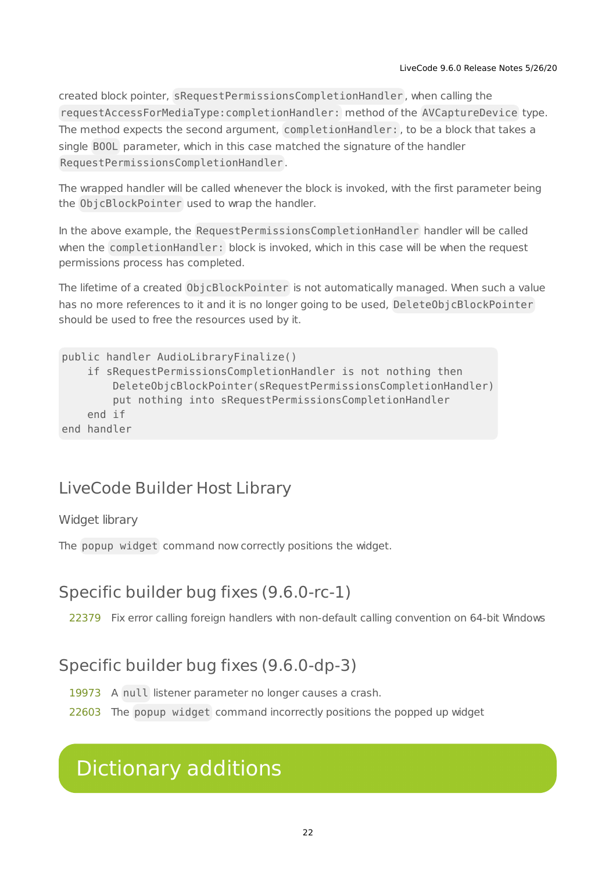created block pointer, sRequestPermissionsCompletionHandler , when calling the requestAccessForMediaType:completionHandler: method of the AVCaptureDevice type. The method expects the second argument, completionHandler: , to be a block that takes a single BOOL parameter, which in this case matched the signature of the handler RequestPermissionsCompletionHandler .

The wrapped handler will be called whenever the block is invoked, with the first parameter being the ObjcBlockPointer used to wrap the handler.

In the above example, the RequestPermissionsCompletionHandler handler will be called when the completionHandler: block is invoked, which in this case will be when the request permissions process has completed.

The lifetime of a created ObjcBlockPointer is not automatically managed. When such a value has no more references to it and it is no longer going to be used, DeleteObjcBlockPointer should be used to free the resources used by it.

```
public handler AudioLibraryFinalize()
    if sRequestPermissionsCompletionHandler is not nothing then
        DeleteObjcBlockPointer(sRequestPermissionsCompletionHandler)
        put nothing into sRequestPermissionsCompletionHandler
    end if
end handler
```
# <span id="page-21-0"></span>LiveCode Builder Host Library

#### Widget library

The popup widget command now correctly positions the widget.

## <span id="page-21-1"></span>Specific builder bug fixes (9.6.0-rc-1)

[22379](http://quality.livecode.com/show_bug.cgi?id=22379) Fix error calling foreign handlers with non-default calling convention on 64-bit Windows

## <span id="page-21-2"></span>Specific builder bug fixes (9.6.0-dp-3)

[19973](http://quality.livecode.com/show_bug.cgi?id=19973) A null listener parameter no longer causes a crash.

[22603](http://quality.livecode.com/show_bug.cgi?id=22603) The popup widget command incorrectly positions the popped up widget

# <span id="page-21-3"></span>Dictionary additions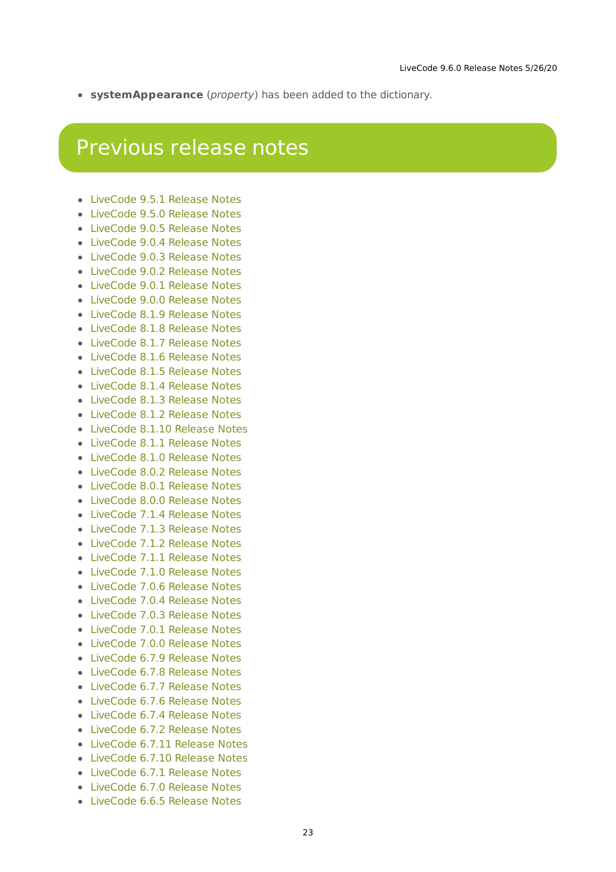**systemAppearance** (property) has been added to the dictionary.

# <span id="page-22-0"></span>Previous release notes

- [LiveCode](https://downloads.livecode.com/livecode/9_5_1/LiveCodeNotes-9_5_1.pdf) 9.5.1 Release Notes
- [LiveCode](https://downloads.livecode.com/livecode/9_5_0/LiveCodeNotes-9_5_0.pdf) 9.5.0 Release Notes
- [LiveCode](https://downloads.livecode.com/livecode/9_0_5/LiveCodeNotes-9_0_5.pdf) 9.0.5 Release Notes
- [LiveCode](https://downloads.livecode.com/livecode/9_0_4/LiveCodeNotes-9_0_4.pdf) 9.0.4 Release Notes
- [LiveCode](https://downloads.livecode.com/livecode/9_0_3/LiveCodeNotes-9_0_3.pdf) 9.0.3 Release Notes
- [LiveCode](https://downloads.livecode.com/livecode/9_0_2/LiveCodeNotes-9_0_2.pdf) 9.0.2 Release Notes
- [LiveCode](https://downloads.livecode.com/livecode/9_0_1/LiveCodeNotes-9_0_1.pdf) 9.0.1 Release Notes
- [LiveCode](https://downloads.livecode.com/livecode/9_0_0/LiveCodeNotes-9_0_0.pdf) 9.0.0 Release Notes
- [LiveCode](https://downloads.livecode.com/livecode/8_1_9/LiveCodeNotes-8_1_9.pdf) 8.1.9 Release Notes
- [LiveCode](https://downloads.livecode.com/livecode/8_1_8/LiveCodeNotes-8_1_8.pdf) 8.1.8 Release Notes
- [LiveCode](https://downloads.livecode.com/livecode/8_1_7/LiveCodeNotes-8_1_7.pdf) 8.1.7 Release Notes
- [LiveCode](https://downloads.livecode.com/livecode/8_1_6/LiveCodeNotes-8_1_6.pdf) 8.1.6 Release Notes
- [LiveCode](https://downloads.livecode.com/livecode/8_1_5/LiveCodeNotes-8_1_5.pdf) 8.1.5 Release Notes
- [LiveCode](https://downloads.livecode.com/livecode/8_1_4/LiveCodeNotes-8_1_4.pdf) 8.1.4 Release Notes
- [LiveCode](https://downloads.livecode.com/livecode/8_1_3/LiveCodeNotes-8_1_3.pdf) 8.1.3 Release Notes
- [LiveCode](https://downloads.livecode.com/livecode/8_1_2/LiveCodeNotes-8_1_2.pdf) 8.1.2 Release Notes
- [LiveCode](https://downloads.livecode.com/livecode/8_1_10/LiveCodeNotes-8_1_10.pdf) 8.1.10 Release Notes
- [LiveCode](https://downloads.livecode.com/livecode/8_1_1/LiveCodeNotes-8_1_1.pdf) 8.1.1 Release Notes
- [LiveCode](https://downloads.livecode.com/livecode/8_1_0/LiveCodeNotes-8_1_0.pdf) 8.1.0 Release Notes
- [LiveCode](https://downloads.livecode.com/livecode/8_0_2/LiveCodeNotes-8_0_2.pdf) 8.0.2 Release Notes
- [LiveCode](https://downloads.livecode.com/livecode/8_0_1/LiveCodeNotes-8_0_1.pdf) 8.0.1 Release Notes
- [LiveCode](https://downloads.livecode.com/livecode/8_0_0/LiveCodeNotes-8_0_0.pdf) 8.0.0 Release Notes
- [LiveCode](https://downloads.livecode.com/livecode/7_1_4/LiveCodeNotes-7_1_4.pdf) 7.1.4 Release Notes
- [LiveCode](https://downloads.livecode.com/livecode/7_1_3/LiveCodeNotes-7_1_3.pdf) 7.1.3 Release Notes
- [LiveCode](https://downloads.livecode.com/livecode/7_1_2/LiveCodeNotes-7_1_2.pdf) 7.1.2 Release Notes
- 
- [LiveCode](https://downloads.livecode.com/livecode/7_1_1/LiveCodeNotes-7_1_1.pdf) 7.1.1 Release Notes
- [LiveCode](https://downloads.livecode.com/livecode/7_1_0/LiveCodeNotes-7_1_0.pdf) 7.1.0 Release Notes
- [LiveCode](https://downloads.livecode.com/livecode/7_0_6/LiveCodeNotes-7_0_6.pdf) 7.0.6 Release Notes
- [LiveCode](https://downloads.livecode.com/livecode/7_0_4/LiveCodeNotes-7_0_4.pdf) 7.0.4 Release Notes
- [LiveCode](https://downloads.livecode.com/livecode/7_0_3/LiveCodeNotes-7_0_3.pdf) 7.0.3 Release Notes
- [LiveCode](https://downloads.livecode.com/livecode/7_0_1/LiveCodeNotes-7_0_1.pdf) 7.0.1 Release Notes
- [LiveCode](https://downloads.livecode.com/livecode/7_0_0/LiveCodeNotes-7_0_0.pdf) 7.0.0 Release Notes
- [LiveCode](https://downloads.livecode.com/livecode/6_7_9/LiveCodeNotes-6_7_9.pdf) 6.7.9 Release Notes
- [LiveCode](https://downloads.livecode.com/livecode/6_7_8/LiveCodeNotes-6_7_8.pdf) 6.7.8 Release Notes
- [LiveCode](https://downloads.livecode.com/livecode/6_7_7/LiveCodeNotes-6_7_7.pdf) 6.7.7 Release Notes
- [LiveCode](https://downloads.livecode.com/livecode/6_7_6/LiveCodeNotes-6_7_6.pdf) 6.7.6 Release Notes
- [LiveCode](https://downloads.livecode.com/livecode/6_7_4/LiveCodeNotes-6_7_4.pdf) 6.7.4 Release Notes
- [LiveCode](https://downloads.livecode.com/livecode/6_7_2/LiveCodeNotes-6_7_2.pdf) 6.7.2 Release Notes
- [LiveCode](https://downloads.livecode.com/livecode/6_7_11/LiveCodeNotes-6_7_11.pdf) 6.7.11 Release Notes
- [LiveCode](https://downloads.livecode.com/livecode/6_7_10/LiveCodeNotes-6_7_10.pdf) 6.7.10 Release Notes
- [LiveCode](https://downloads.livecode.com/livecode/6_7_1/LiveCodeNotes-6_7_1.pdf) 6.7.1 Release Notes
- [LiveCode](https://downloads.livecode.com/livecode/6_7_0/LiveCodeNotes-6_7_0.pdf) 6.7.0 Release Notes
- [LiveCode](https://downloads.livecode.com/livecode/6_6_5/LiveCodeNotes-6_6_5.pdf) 6.6.5 Release Notes